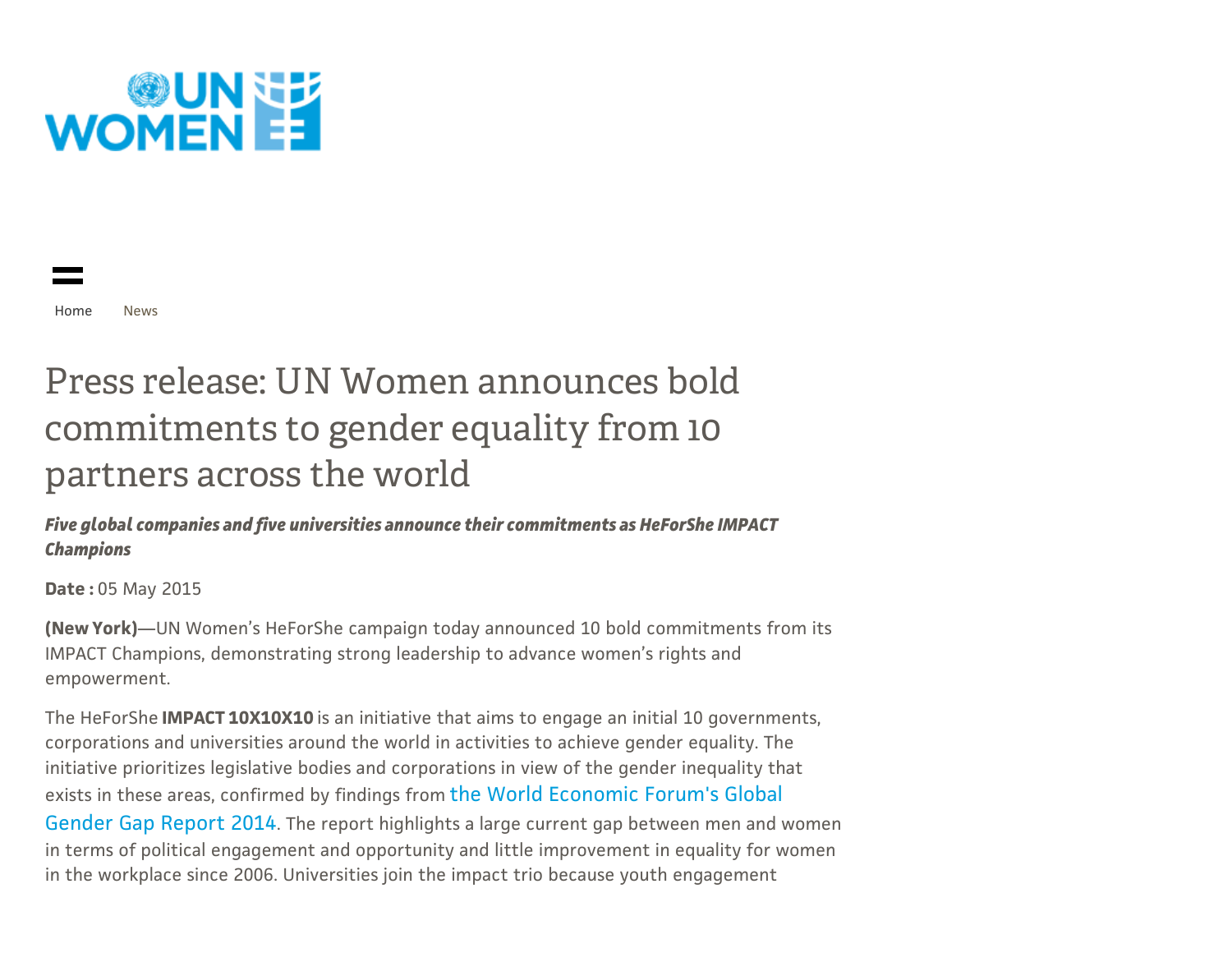

[Home](http://www.unwomen.org/) [News](http://www.unwomen.org/en/news)

# Press [release:](http://www.unwomen.org/en/about-us) UN Women announces bold [commitments](http://www.unwomen.org/en/what-we-do) to gender equality from 10 [partners](http://www.unwomen.org/en/where-we-are) across the world

Five global companies and five [universities](http://www.unwomen.org/en/how-we-work) announce their commitments as HeForShe IMPACT Champions

[Date](http://www.unwomen.org/en/partnerships) : 05 May 2015

(New York)—UN Women's HeForShe campaign today announced 10 bold commitments from its IMPACT Champions, [demonstrating](http://www.unwomen.org/en/news) strong leadership to advance women's rights and [empowerment.](http://www.unwomen.org/en/digital-library)

The HeForShe **IMPACT 10X10X10** is an initiative that aims to engage an initial 10 governments, [corporations](http://www.unwomen.org/en/executive-board) and universities around the world in activities to achieve gender equality. The initiative prioritizes legislative bodies and corporations in view of the gender inequality that exists in these areas, confirmed by findings from the World [Economic](http://reports.weforum.org/global-gender-gap-report-2014/) Forum's Global [Gender](http://www.unwomen.org/en/trust-funds) Gap Report 2014. The report highlights a large current gap between men and women in terms of political engagement and opportunity and little improvement in equality for women in the workplace since 2006. [Universities](http://www.unwomen.org/en/csw) join the impact trio because youth engagement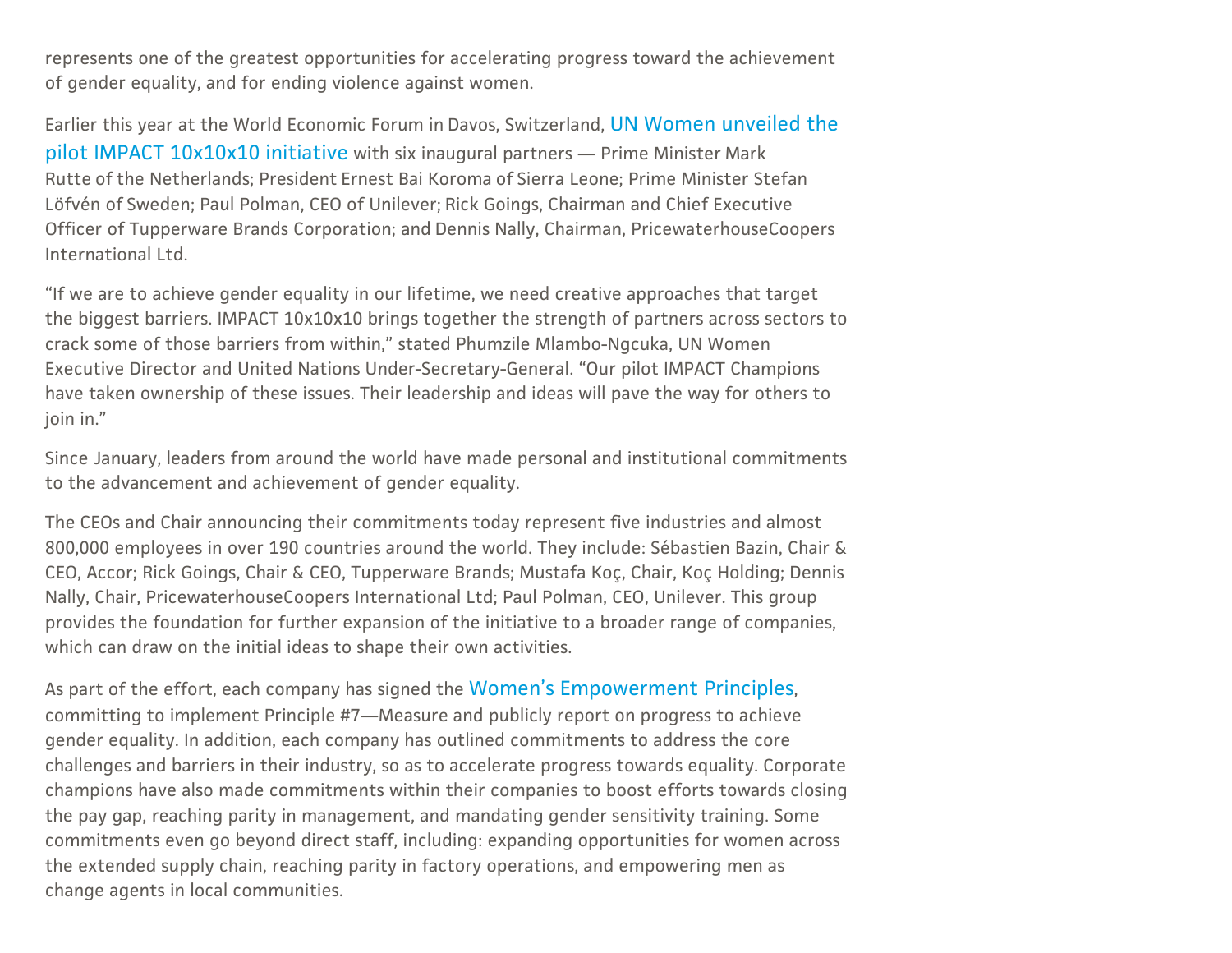represents one of the greatest [opportunitie](http://www.unwomen.org/en/csw)s for accelerating progress toward the achievement of gender equality, and for ending violence against women.

Earlier this year at the World Economic Forum in Davos, Switzerland, UN Women unveiled the pilot IMPACT [10x10x10](http://www.unwomen.org/en/news/stories/2015/01/emma-watson-launches-10-by-10-by-10) initiative with six inaugural partners — Prime Minister Mark Rutte of the Netherlands; President Ernest Bai Koroma of Sierra Leone; Prime Minister Stefan Löfvén of Sweden; Paul Polman, CEO of Unilever; Rick Goings, Chairman and Chief Executive Officer of Tupperware Brands Corporation; and Dennis Nally, Chairman, PricewaterhouseCoopers International Ltd.

"If we are to achieve gender equality in our lifetime, we need creative approaches that target the biggest barriers. IMPACT 10x10x10 brings together the strength of partners across sectors to crack some of those barriers from within," stated Phumzile Mlambo-Ngcuka, UN Women Executive Director and United Nations Under-Secretary-General. "Our pilot IMPACT Champions have taken ownership of these issues. Their leadership and ideas will pave the way for others to join in."

Since January, leaders from around the world have made personal and institutional commitments to the advancement and achievement of gender equality.

The CEOs and Chair announcing their commitments today represent five industries and almost 800,000 employees in over 190 countries around the world. They include: Sébastien Bazin, Chair & CEO, Accor; Rick Goings, Chair & CEO, Tupperware Brands; Mustafa Koç, Chair, Koç Holding; Dennis Nally, Chair, PricewaterhouseCoopers International Ltd; Paul Polman, CEO, Unilever. This group provides the foundation for further expansion of the initiative to a broader range of companies, which can draw on the initial ideas to shape their own activities.

As part of the effort, each company has signed the Women's [Empowerment](http://weprinciples.org/) Principles, committing to implement Principle #7—Measure and publicly report on progress to achieve gender equality. In addition, each company has outlined commitments to address the core challenges and barriers in their industry, so as to accelerate progress towards equality. Corporate champions have also made commitments within their companies to boost efforts towards closing the pay gap, reaching parity in management, and mandating gender sensitivity training. Some commitments even go beyond direct staff, including: expanding opportunities for women across the extended supply chain, reaching parity in factory operations, and empowering men as change agents in local communities.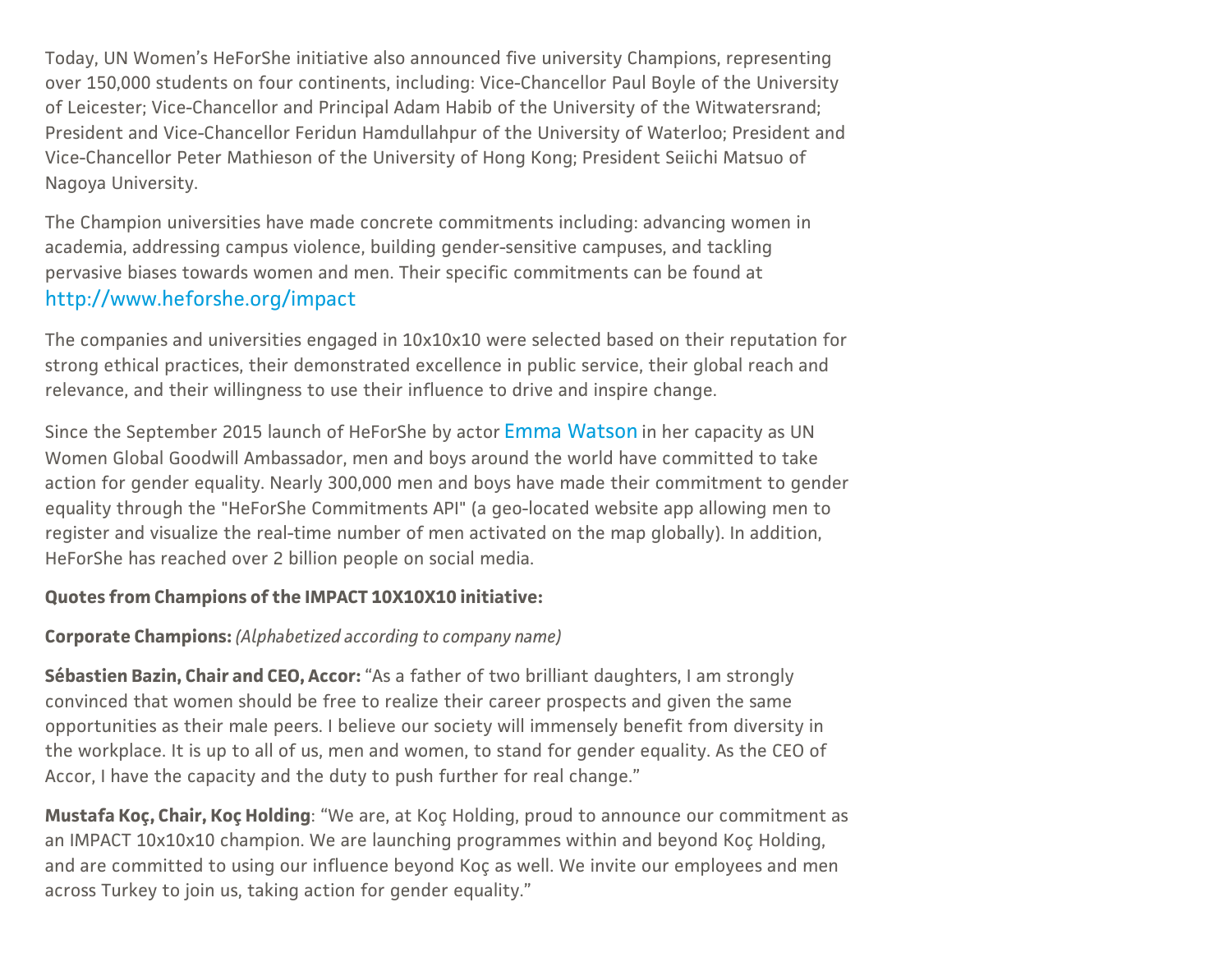Today, UN Women's HeForShe initiative also announced five university Champions, representing over 150,000 students on four continents, including: Vice-Chancellor Paul Boyle of the University of Leicester; Vice-Chancellor and Principal Adam Habib of the University of the Witwatersrand; President and Vice-Chancellor Feridun Hamdullahpur of the University of Waterloo; President and Vice-Chancellor Peter Mathieson of the University of Hong Kong; President Seiichi Matsuo of Nagoya University.

The Champion universities have made concrete commitments including: advancing women in academia, addressing campus violence, building gender-sensitive campuses, and tackling pervasive biases towards women and men. Their specific commitments can be found at <http://www.heforshe.org/impact>

The companies and universities engaged in 10x10x10 were selected based on their reputation for strong ethical practices, their demonstrated excellence in public service, their global reach and relevance, and their willingness to use their influence to drive and inspire change.

Since the September 2015 launch of HeForShe by actor Emma [Watson](http://www.unwomen.org/en/partnerships/goodwill-ambassadors/emma-watson) in her capacity as UN Women Global Goodwill Ambassador, men and boys around the world have committed to take action for gender equality. Nearly 300,000 men and boys have made their commitment to gender equality through the "HeForShe Commitments API" (a geo-located website app allowing men to register and visualize the real-time number of men activated on the map globally). In addition, HeForShe has reached over 2 billion people on social media.

### Quotes from Champions of the IMPACT 10X10X10 initiative:

## Corporate Champions: (Alphabetized according to company name)

Sébastien Bazin, Chair and CEO, Accor: "As a father of two brilliant daughters, I am strongly convinced that women should be free to realize their career prospects and given the same opportunities as their male peers. I believe our society will immensely benefit from diversity in the workplace. It is up to all of us, men and women, to stand for gender equality. As the CEO of Accor, I have the capacity and the duty to push further for real change."

Mustafa Koç, Chair, Koç Holding: "We are, at Koç Holding, proud to announce our commitment as an IMPACT 10x10x10 champion. We are launching programmes within and beyond Koç Holding, and are committed to using our influence beyond Koç as well. We invite our employees and men across Turkey to join us, taking action for gender equality."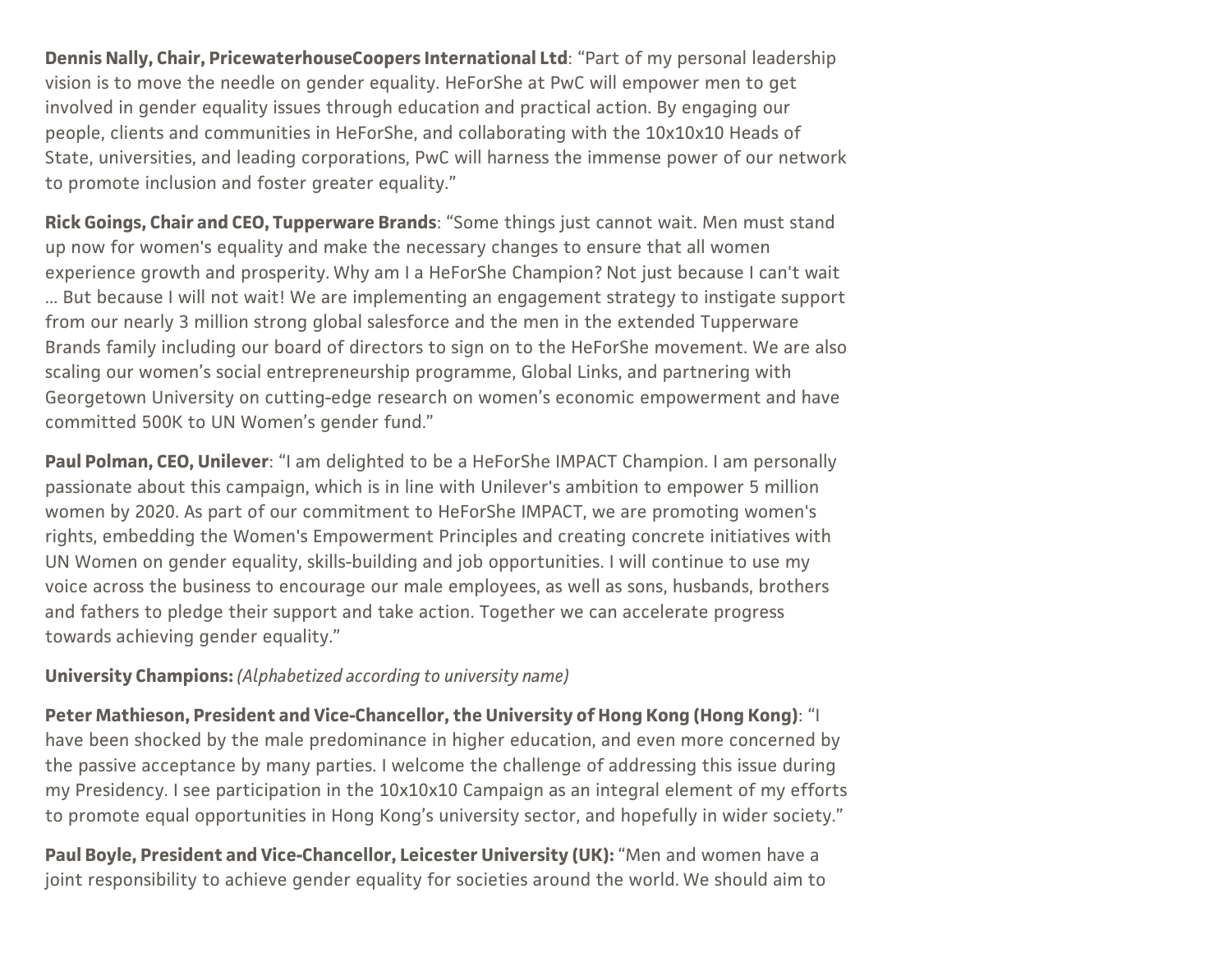Dennis Nally, Chair, PricewaterhouseCoopers International Ltd: "Part of my personal leadership vision is to move the needle on gender equality. HeForShe at PwC will empower men to get involved in gender equality issues through education and practical action. By engaging our people, clients and communities in HeForShe, and collaborating with the 10x10x10 Heads of State, universities, and leading corporations, PwC will harness the immense power of our network to promote inclusion and foster greater equality."

Rick Goings, Chair and CEO, Tupperware Brands: "Some things just cannot wait. Men must stand up now for women's equality and make the necessary changes to ensure that all women experience growth and prosperity. Why am I a HeForShe Champion? Not just because I can't wait ... But because I will not wait! We are implementing an engagement strategy to instigate support from our nearly 3 million strong global salesforce and the men in the extended Tupperware Brands family including our board of directors to sign on to the HeForShe movement. We are also scaling our women's social entrepreneurship programme, Global Links, and partnering with Georgetown University on cutting-edge research on women's economic empowerment and have committed 500K to UN Women's gender fund."

Paul Polman, CEO, Unilever: "I am delighted to be a HeForShe IMPACT Champion. I am personally passionate about this campaign, which is in line with Unilever's ambition to empower 5 million women by 2020. As part of our commitment to HeForShe IMPACT, we are promoting women's rights, embedding the Women's Empowerment Principles and creating concrete initiatives with UN Women on gender equality, skills-building and job opportunities. I will continue to use my voice across the business to encourage our male employees, as well as sons, husbands, brothers and fathers to pledge their support and take action. Together we can accelerate progress towards achieving gender equality."

### University Champions: (Alphabetized according to university name)

Peter Mathieson, President and Vice-Chancellor, the University of Hong Kong (Hong Kong): "I have been shocked by the male predominance in higher education, and even more concerned by the passive acceptance by many parties. I welcome the challenge of addressing this issue during my Presidency. I see participation in the 10x10x10 Campaign as an integral element of my efforts to promote equal opportunities in Hong Kong's university sector, and hopefully in wider society."

Paul Boyle, President and Vice-Chancellor, Leicester University (UK): "Men and women have a joint responsibility to achieve gender equality for societies around the world. We should aim to